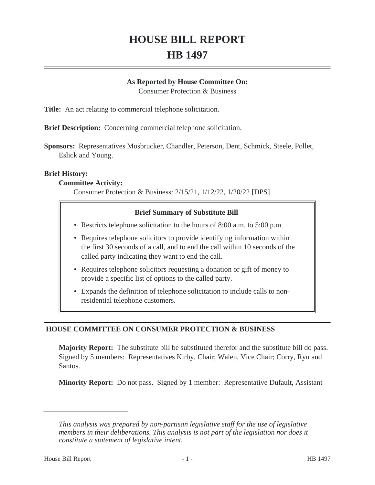# **HOUSE BILL REPORT HB 1497**

#### **As Reported by House Committee On:**

Consumer Protection & Business

**Title:** An act relating to commercial telephone solicitation.

**Brief Description:** Concerning commercial telephone solicitation.

**Sponsors:** Representatives Mosbrucker, Chandler, Peterson, Dent, Schmick, Steele, Pollet, Eslick and Young.

#### **Brief History:**

#### **Committee Activity:**

Consumer Protection & Business: 2/15/21, 1/12/22, 1/20/22 [DPS].

#### **Brief Summary of Substitute Bill**

- Restricts telephone solicitation to the hours of 8:00 a.m. to 5:00 p.m.
- Requires telephone solicitors to provide identifying information within the first 30 seconds of a call, and to end the call within 10 seconds of the called party indicating they want to end the call.
- Requires telephone solicitors requesting a donation or gift of money to provide a specific list of options to the called party.
- Expands the definition of telephone solicitation to include calls to non-• residential telephone customers.

# **HOUSE COMMITTEE ON CONSUMER PROTECTION & BUSINESS**

**Majority Report:** The substitute bill be substituted therefor and the substitute bill do pass. Signed by 5 members: Representatives Kirby, Chair; Walen, Vice Chair; Corry, Ryu and Santos.

**Minority Report:** Do not pass. Signed by 1 member: Representative Dufault, Assistant

*This analysis was prepared by non-partisan legislative staff for the use of legislative members in their deliberations. This analysis is not part of the legislation nor does it constitute a statement of legislative intent.*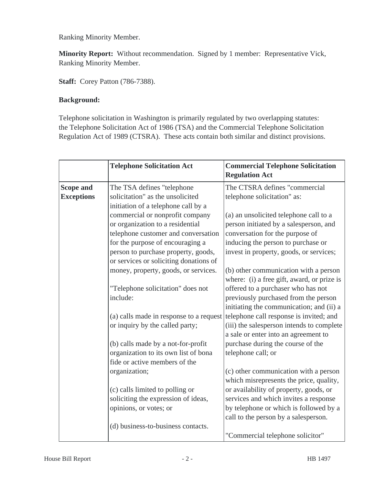Ranking Minority Member.

**Minority Report:** Without recommendation. Signed by 1 member: Representative Vick, Ranking Minority Member.

**Staff:** Corey Patton (786-7388).

# **Background:**

Telephone solicitation in Washington is primarily regulated by two overlapping statutes: the Telephone Solicitation Act of 1986 (TSA) and the Commercial Telephone Solicitation Regulation Act of 1989 (CTSRA). These acts contain both similar and distinct provisions.

|                                       |                                                                                                                                                                                       | <b>Regulation Act</b>                                                                                                                                                                                |
|---------------------------------------|---------------------------------------------------------------------------------------------------------------------------------------------------------------------------------------|------------------------------------------------------------------------------------------------------------------------------------------------------------------------------------------------------|
| <b>Scope and</b><br><b>Exceptions</b> | The TSA defines "telephone<br>solicitation" as the unsolicited<br>initiation of a telephone call by a                                                                                 | The CTSRA defines "commercial<br>telephone solicitation" as:                                                                                                                                         |
|                                       | commercial or nonprofit company<br>or organization to a residential<br>telephone customer and conversation<br>for the purpose of encouraging a<br>person to purchase property, goods, | (a) an unsolicited telephone call to a<br>person initiated by a salesperson, and<br>conversation for the purpose of<br>inducing the person to purchase or<br>invest in property, goods, or services; |
|                                       | or services or soliciting donations of<br>money, property, goods, or services.                                                                                                        | (b) other communication with a person<br>where: (i) a free gift, award, or prize is                                                                                                                  |
|                                       | "Telephone solicitation" does not<br>include:                                                                                                                                         | offered to a purchaser who has not<br>previously purchased from the person<br>initiating the communication; and (ii) a                                                                               |
|                                       | (a) calls made in response to a request<br>or inquiry by the called party;                                                                                                            | telephone call response is invited; and<br>(iii) the salesperson intends to complete<br>a sale or enter into an agreement to                                                                         |
|                                       | (b) calls made by a not-for-profit<br>organization to its own list of bona<br>fide or active members of the                                                                           | purchase during the course of the<br>telephone call; or                                                                                                                                              |
|                                       | organization;                                                                                                                                                                         | (c) other communication with a person<br>which misrepresents the price, quality,                                                                                                                     |
|                                       | (c) calls limited to polling or<br>soliciting the expression of ideas,<br>opinions, or votes; or                                                                                      | or availability of property, goods, or<br>services and which invites a response<br>by telephone or which is followed by a                                                                            |
|                                       | (d) business-to-business contacts.                                                                                                                                                    | call to the person by a salesperson.<br>"Commercial telephone solicitor"                                                                                                                             |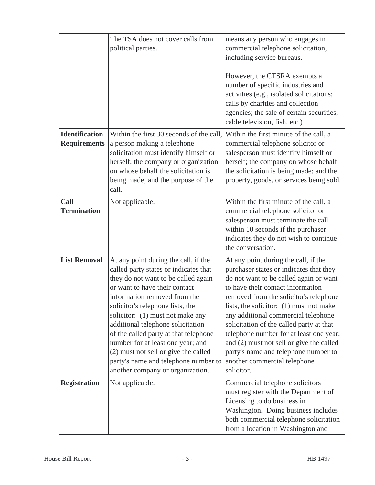|                                              | The TSA does not cover calls from<br>political parties.                                                                                                                                                                                                                                                                                                                                                                                                                                              | means any person who engages in<br>commercial telephone solicitation,<br>including service bureaus.<br>However, the CTSRA exempts a                                                                                                                                                                                                                                                                                                                                                                                 |
|----------------------------------------------|------------------------------------------------------------------------------------------------------------------------------------------------------------------------------------------------------------------------------------------------------------------------------------------------------------------------------------------------------------------------------------------------------------------------------------------------------------------------------------------------------|---------------------------------------------------------------------------------------------------------------------------------------------------------------------------------------------------------------------------------------------------------------------------------------------------------------------------------------------------------------------------------------------------------------------------------------------------------------------------------------------------------------------|
|                                              |                                                                                                                                                                                                                                                                                                                                                                                                                                                                                                      | number of specific industries and<br>activities (e.g., isolated solicitations;<br>calls by charities and collection<br>agencies; the sale of certain securities,<br>cable television, fish, etc.)                                                                                                                                                                                                                                                                                                                   |
| <b>Identification</b><br><b>Requirements</b> | Within the first 30 seconds of the call,<br>a person making a telephone<br>solicitation must identify himself or<br>herself; the company or organization<br>on whose behalf the solicitation is<br>being made; and the purpose of the<br>call.                                                                                                                                                                                                                                                       | Within the first minute of the call, a<br>commercial telephone solicitor or<br>salesperson must identify himself or<br>herself; the company on whose behalf<br>the solicitation is being made; and the<br>property, goods, or services being sold.                                                                                                                                                                                                                                                                  |
| <b>Call</b><br><b>Termination</b>            | Not applicable.                                                                                                                                                                                                                                                                                                                                                                                                                                                                                      | Within the first minute of the call, a<br>commercial telephone solicitor or<br>salesperson must terminate the call<br>within 10 seconds if the purchaser<br>indicates they do not wish to continue<br>the conversation.                                                                                                                                                                                                                                                                                             |
| <b>List Removal</b>                          | At any point during the call, if the<br>called party states or indicates that<br>they do not want to be called again<br>or want to have their contact<br>information removed from the<br>solicitor's telephone lists, the<br>solicitor: (1) must not make any<br>additional telephone solicitation<br>of the called party at that telephone<br>number for at least one year; and<br>(2) must not sell or give the called<br>party's name and telephone number to<br>another company or organization. | At any point during the call, if the<br>purchaser states or indicates that they<br>do not want to be called again or want<br>to have their contact information<br>removed from the solicitor's telephone<br>lists, the solicitor: (1) must not make<br>any additional commercial telephone<br>solicitation of the called party at that<br>telephone number for at least one year;<br>and (2) must not sell or give the called<br>party's name and telephone number to<br>another commercial telephone<br>solicitor. |
| <b>Registration</b>                          | Not applicable.                                                                                                                                                                                                                                                                                                                                                                                                                                                                                      | Commercial telephone solicitors<br>must register with the Department of<br>Licensing to do business in<br>Washington. Doing business includes<br>both commercial telephone solicitation<br>from a location in Washington and                                                                                                                                                                                                                                                                                        |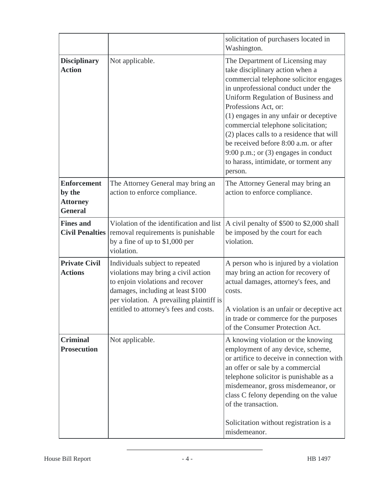|                                                                   |                                                                                                                                                                                                                                       | solicitation of purchasers located in<br>Washington.                                                                                                                                                                                                                                                                                                                                                                                                                                  |
|-------------------------------------------------------------------|---------------------------------------------------------------------------------------------------------------------------------------------------------------------------------------------------------------------------------------|---------------------------------------------------------------------------------------------------------------------------------------------------------------------------------------------------------------------------------------------------------------------------------------------------------------------------------------------------------------------------------------------------------------------------------------------------------------------------------------|
| <b>Disciplinary</b><br><b>Action</b>                              | Not applicable.                                                                                                                                                                                                                       | The Department of Licensing may<br>take disciplinary action when a<br>commercial telephone solicitor engages<br>in unprofessional conduct under the<br>Uniform Regulation of Business and<br>Professions Act, or:<br>(1) engages in any unfair or deceptive<br>commercial telephone solicitation;<br>(2) places calls to a residence that will<br>be received before 8:00 a.m. or after<br>9:00 p.m.; or $(3)$ engages in conduct<br>to harass, intimidate, or torment any<br>person. |
| <b>Enforcement</b><br>by the<br><b>Attorney</b><br><b>General</b> | The Attorney General may bring an<br>action to enforce compliance.                                                                                                                                                                    | The Attorney General may bring an<br>action to enforce compliance.                                                                                                                                                                                                                                                                                                                                                                                                                    |
| <b>Fines and</b>                                                  | Violation of the identification and list<br>Civil Penalties removal requirements is punishable<br>by a fine of up to $$1,000$ per<br>violation.                                                                                       | A civil penalty of \$500 to \$2,000 shall<br>be imposed by the court for each<br>violation.                                                                                                                                                                                                                                                                                                                                                                                           |
| <b>Private Civil</b><br><b>Actions</b>                            | Individuals subject to repeated<br>violations may bring a civil action<br>to enjoin violations and recover<br>damages, including at least \$100<br>per violation. A prevailing plaintiff is<br>entitled to attorney's fees and costs. | A person who is injured by a violation<br>may bring an action for recovery of<br>actual damages, attorney's fees, and<br>costs.<br>A violation is an unfair or deceptive act<br>in trade or commerce for the purposes<br>of the Consumer Protection Act.                                                                                                                                                                                                                              |
| <b>Criminal</b><br><b>Prosecution</b>                             | Not applicable.                                                                                                                                                                                                                       | A knowing violation or the knowing<br>employment of any device, scheme,<br>or artifice to deceive in connection with<br>an offer or sale by a commercial<br>telephone solicitor is punishable as a<br>misdemeanor, gross misdemeanor, or<br>class C felony depending on the value<br>of the transaction.<br>Solicitation without registration is a<br>misdemeanor.                                                                                                                    |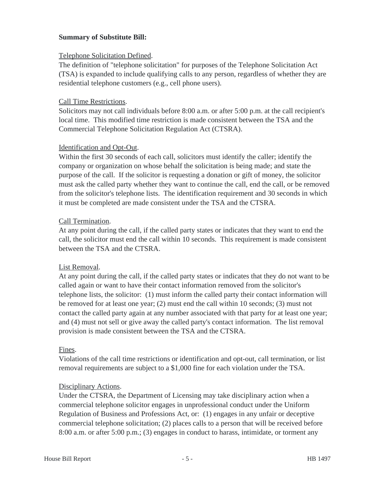# **Summary of Substitute Bill:**

# Telephone Solicitation Defined.

The definition of "telephone solicitation" for purposes of the Telephone Solicitation Act (TSA) is expanded to include qualifying calls to any person, regardless of whether they are residential telephone customers (e.g., cell phone users).

# Call Time Restrictions.

Solicitors may not call individuals before 8:00 a.m. or after 5:00 p.m. at the call recipient's local time. This modified time restriction is made consistent between the TSA and the Commercial Telephone Solicitation Regulation Act (CTSRA).

# Identification and Opt-Out.

Within the first 30 seconds of each call, solicitors must identify the caller; identify the company or organization on whose behalf the solicitation is being made; and state the purpose of the call. If the solicitor is requesting a donation or gift of money, the solicitor must ask the called party whether they want to continue the call, end the call, or be removed from the solicitor's telephone lists. The identification requirement and 30 seconds in which it must be completed are made consistent under the TSA and the CTSRA.

# Call Termination.

At any point during the call, if the called party states or indicates that they want to end the call, the solicitor must end the call within 10 seconds. This requirement is made consistent between the TSA and the CTSRA.

# List Removal.

At any point during the call, if the called party states or indicates that they do not want to be called again or want to have their contact information removed from the solicitor's telephone lists, the solicitor: (1) must inform the called party their contact information will be removed for at least one year; (2) must end the call within 10 seconds; (3) must not contact the called party again at any number associated with that party for at least one year; and (4) must not sell or give away the called party's contact information. The list removal provision is made consistent between the TSA and the CTSRA.

# Fines.

Violations of the call time restrictions or identification and opt-out, call termination, or list removal requirements are subject to a \$1,000 fine for each violation under the TSA.

# Disciplinary Actions.

Under the CTSRA, the Department of Licensing may take disciplinary action when a commercial telephone solicitor engages in unprofessional conduct under the Uniform Regulation of Business and Professions Act, or: (1) engages in any unfair or deceptive commercial telephone solicitation; (2) places calls to a person that will be received before 8:00 a.m. or after 5:00 p.m.; (3) engages in conduct to harass, intimidate, or torment any